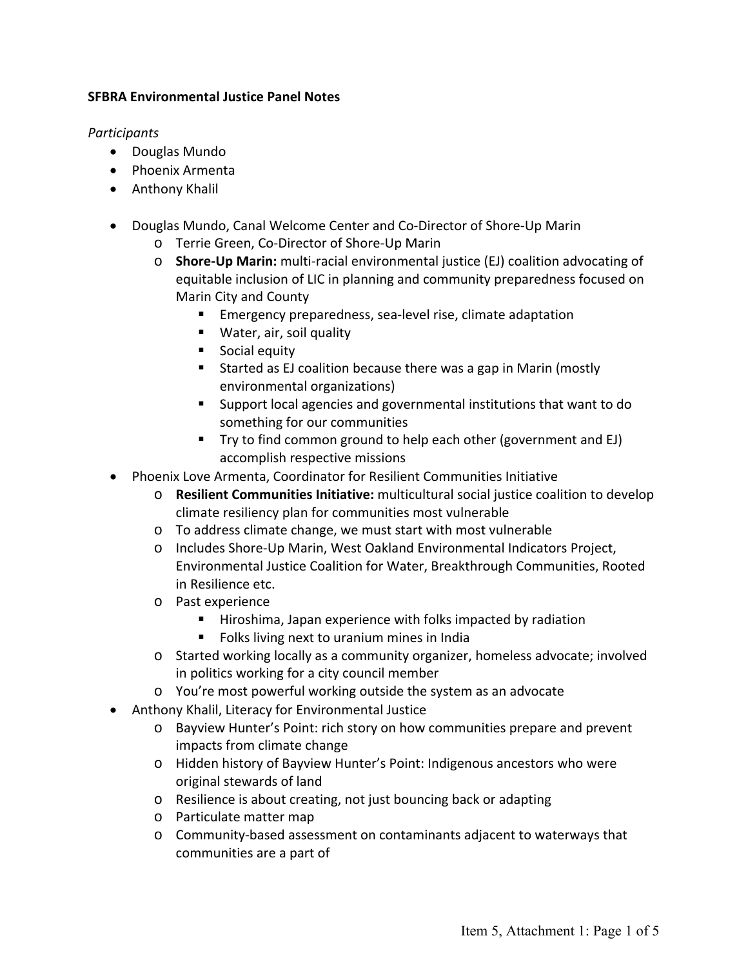## **SFBRA Environmental Justice Panel Notes**

## *Participants*

- Douglas Mundo
- Phoenix Armenta
- Anthony Khalil
- Douglas Mundo, Canal Welcome Center and Co-Director of Shore-Up Marin
	- o Terrie Green, Co‐Director of Shore‐Up Marin
	- o **Shore‐Up Marin:** multi‐racial environmental justice (EJ) coalition advocating of equitable inclusion of LIC in planning and community preparedness focused on Marin City and County
		- Emergency preparedness, sea-level rise, climate adaptation
		- **Water, air, soil quality**
		- **Social equity**
		- Started as EJ coalition because there was a gap in Marin (mostly environmental organizations)
		- Support local agencies and governmental institutions that want to do something for our communities
		- Try to find common ground to help each other (government and EJ) accomplish respective missions
- Phoenix Love Armenta, Coordinator for Resilient Communities Initiative
	- o **Resilient Communities Initiative:** multicultural social justice coalition to develop climate resiliency plan for communities most vulnerable
	- o To address climate change, we must start with most vulnerable
	- o Includes Shore‐Up Marin, West Oakland Environmental Indicators Project, Environmental Justice Coalition for Water, Breakthrough Communities, Rooted in Resilience etc.
	- o Past experience
		- Hiroshima, Japan experience with folks impacted by radiation
		- **Folks living next to uranium mines in India**
	- o Started working locally as a community organizer, homeless advocate; involved in politics working for a city council member
	- o You're most powerful working outside the system as an advocate
- Anthony Khalil, Literacy for Environmental Justice
	- o Bayview Hunter's Point: rich story on how communities prepare and prevent impacts from climate change
	- o Hidden history of Bayview Hunter's Point: Indigenous ancestors who were original stewards of land
	- o Resilience is about creating, not just bouncing back or adapting
	- o Particulate matter map
	- o Community‐based assessment on contaminants adjacent to waterways that communities are a part of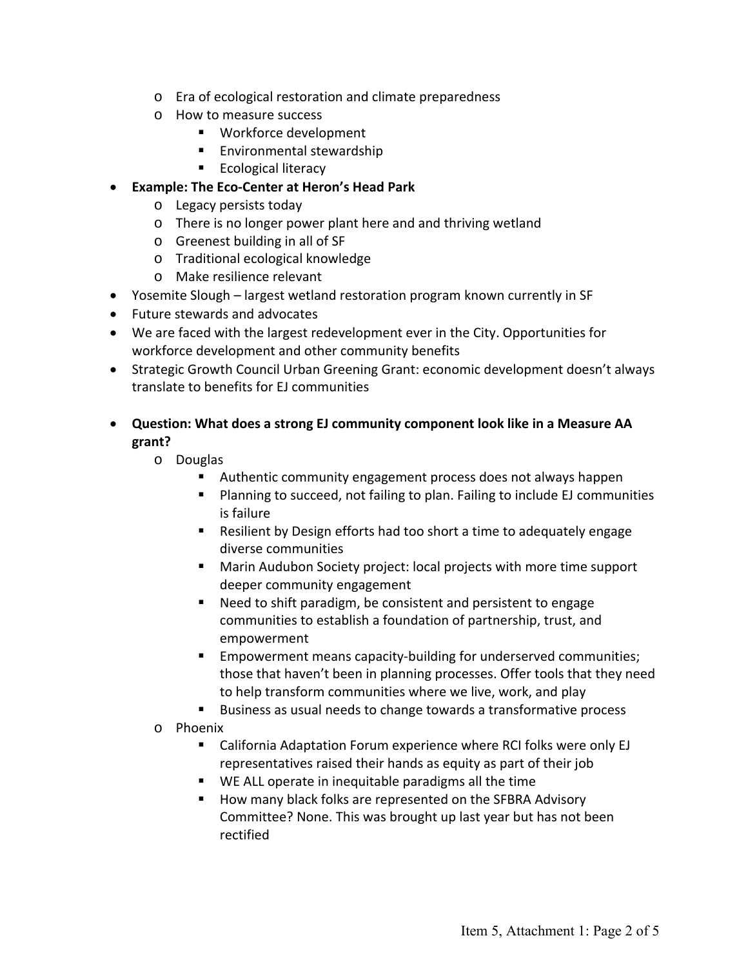- o Era of ecological restoration and climate preparedness
- o How to measure success
	- Workforce development
	- **Environmental stewardship**
	- **Ecological literacy**
- **Example: The Eco‐Center at Heron's Head Park** 
	- o Legacy persists today
	- o There is no longer power plant here and and thriving wetland
	- o Greenest building in all of SF
	- o Traditional ecological knowledge
	- o Make resilience relevant
- Yosemite Slough largest wetland restoration program known currently in SF
- Future stewards and advocates
- We are faced with the largest redevelopment ever in the City. Opportunities for workforce development and other community benefits
- Strategic Growth Council Urban Greening Grant: economic development doesn't always translate to benefits for EJ communities
- **Question: What does a strong EJ community component look like in a Measure AA grant?** 
	- o Douglas
		- Authentic community engagement process does not always happen
		- **Planning to succeed, not failing to plan. Failing to include EJ communities** is failure
		- Resilient by Design efforts had too short a time to adequately engage diverse communities
		- Marin Audubon Society project: local projects with more time support deeper community engagement
		- Need to shift paradigm, be consistent and persistent to engage communities to establish a foundation of partnership, trust, and empowerment
		- Empowerment means capacity-building for underserved communities; those that haven't been in planning processes. Offer tools that they need to help transform communities where we live, work, and play
		- Business as usual needs to change towards a transformative process
	- o Phoenix
		- California Adaptation Forum experience where RCI folks were only EJ representatives raised their hands as equity as part of their job
		- WE ALL operate in inequitable paradigms all the time
		- How many black folks are represented on the SFBRA Advisory Committee? None. This was brought up last year but has not been rectified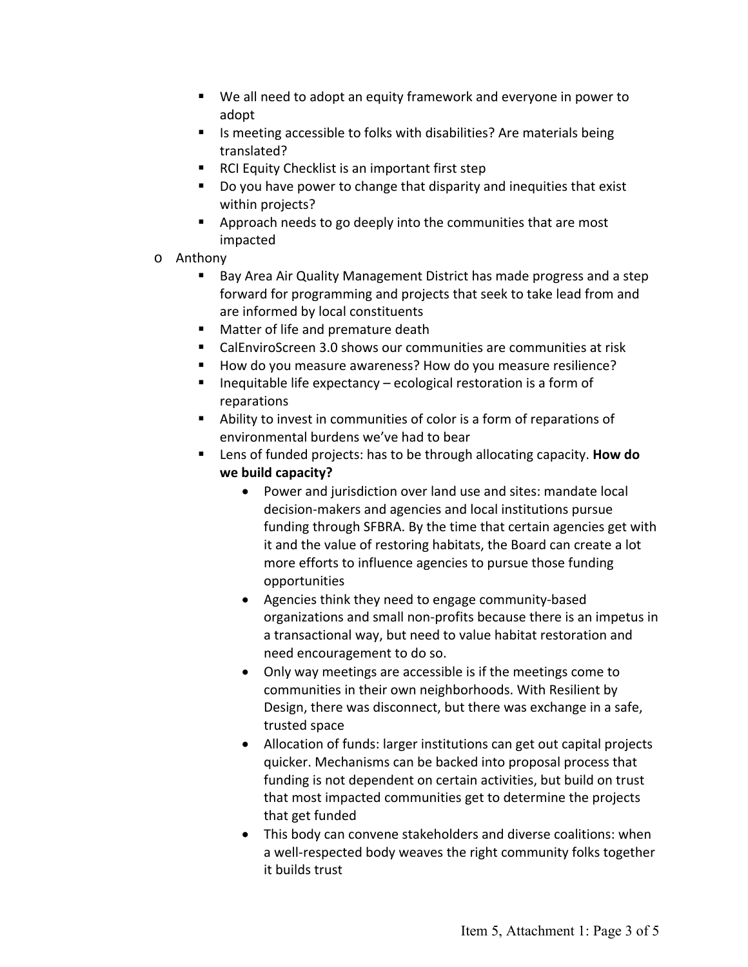- We all need to adopt an equity framework and everyone in power to adopt
- Is meeting accessible to folks with disabilities? Are materials being translated?
- RCI Equity Checklist is an important first step
- Do you have power to change that disparity and inequities that exist within projects?
- **EXTERG** Approach needs to go deeply into the communities that are most impacted
- o Anthony
	- Bay Area Air Quality Management District has made progress and a step forward for programming and projects that seek to take lead from and are informed by local constituents
	- **Matter of life and premature death**
	- CalEnviroScreen 3.0 shows our communities are communities at risk
	- How do you measure awareness? How do you measure resilience?
	- $\blacksquare$  Inequitable life expectancy ecological restoration is a form of reparations
	- Ability to invest in communities of color is a form of reparations of environmental burdens we've had to bear
	- Lens of funded projects: has to be through allocating capacity. **How do we build capacity?**
		- Power and jurisdiction over land use and sites: mandate local decision‐makers and agencies and local institutions pursue funding through SFBRA. By the time that certain agencies get with it and the value of restoring habitats, the Board can create a lot more efforts to influence agencies to pursue those funding opportunities
		- Agencies think they need to engage community-based organizations and small non‐profits because there is an impetus in a transactional way, but need to value habitat restoration and need encouragement to do so.
		- Only way meetings are accessible is if the meetings come to communities in their own neighborhoods. With Resilient by Design, there was disconnect, but there was exchange in a safe, trusted space
		- Allocation of funds: larger institutions can get out capital projects quicker. Mechanisms can be backed into proposal process that funding is not dependent on certain activities, but build on trust that most impacted communities get to determine the projects that get funded
		- This body can convene stakeholders and diverse coalitions: when a well-respected body weaves the right community folks together it builds trust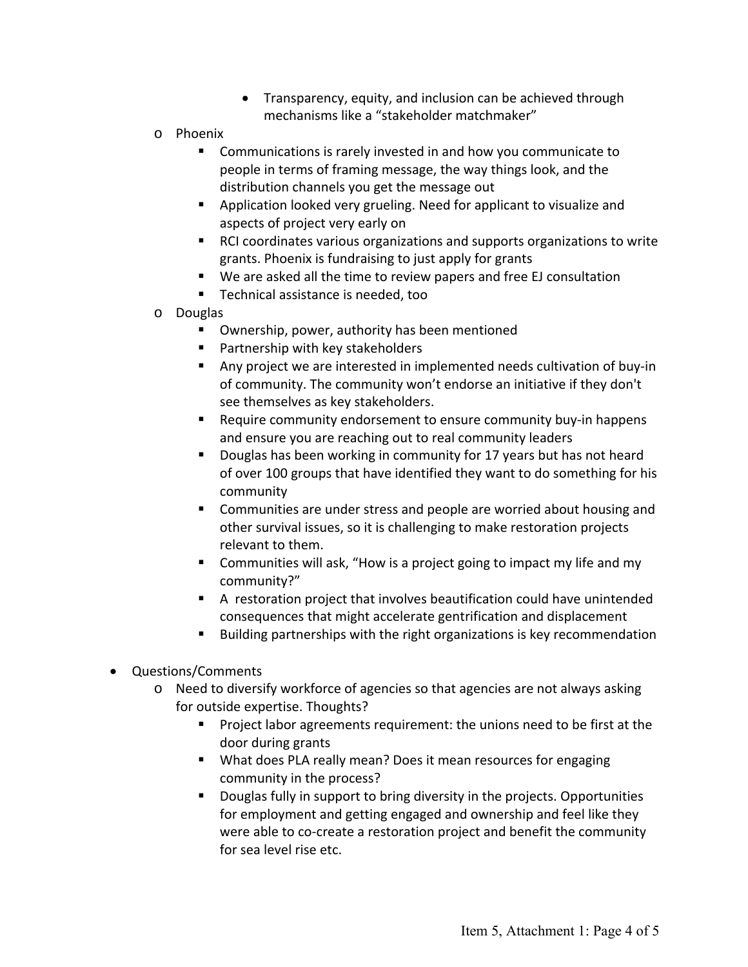- Transparency, equity, and inclusion can be achieved through mechanisms like a "stakeholder matchmaker"
- o Phoenix
	- Communications is rarely invested in and how you communicate to people in terms of framing message, the way things look, and the distribution channels you get the message out
	- **Application looked very grueling. Need for applicant to visualize and** aspects of project very early on
	- RCI coordinates various organizations and supports organizations to write grants. Phoenix is fundraising to just apply for grants
	- We are asked all the time to review papers and free EJ consultation
	- Technical assistance is needed, too
- o Douglas
	- Ownership, power, authority has been mentioned
	- **Partnership with key stakeholders**
	- Any project we are interested in implemented needs cultivation of buy-in of community. The community won't endorse an initiative if they don't see themselves as key stakeholders.
	- Require community endorsement to ensure community buy-in happens and ensure you are reaching out to real community leaders
	- **Douglas has been working in community for 17 years but has not heard** of over 100 groups that have identified they want to do something for his community
	- **EXECOMMUNITY COMMUNITY** Communities are under stress and people are worried about housing and other survival issues, so it is challenging to make restoration projects relevant to them.
	- **E** Communities will ask, "How is a project going to impact my life and my community?"
	- A restoration project that involves beautification could have unintended consequences that might accelerate gentrification and displacement
	- Building partnerships with the right organizations is key recommendation
- Questions/Comments
	- o Need to diversify workforce of agencies so that agencies are not always asking for outside expertise. Thoughts?
		- **Project labor agreements requirement: the unions need to be first at the** door during grants
		- What does PLA really mean? Does it mean resources for engaging community in the process?
		- Douglas fully in support to bring diversity in the projects. Opportunities for employment and getting engaged and ownership and feel like they were able to co-create a restoration project and benefit the community for sea level rise etc.